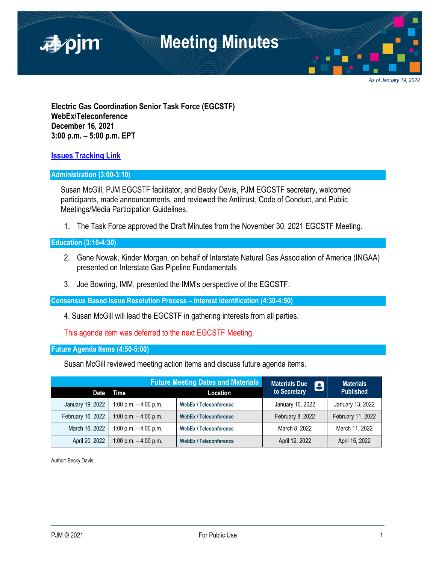

*As of January 19, 2022*

**Electric Gas Coordination Senior Task Force (EGCSTF) WebEx/Teleconference December 16, 2021 3:00 p.m. – 5:00 p.m. EPT** 

**Issues Tracking Link**

### **Administration (3:00-3:10)**

 Susan McGill, PJM EGCSTF facilitator, and Becky Davis, PJM EGCSTF secretary, welcomed participants, made announcements, and reviewed the Antitrust, Code of Conduct, and Public Meetings/Media Participation Guidelines.

1. The Task Force approved the Draft Minutes from the November 30, 2021 EGCSTF Meeting.

### **Education (3:10-4:30)**

- 2. Gene Nowak, Kinder Morgan, on behalf of Interstate Natural Gas Association of America (INGAA) presented on Interstate Gas Pipeline Fundamentals
- 3. Joe Bowring, IMM, presented the IMM's perspective of the EGCSTF.

**Consensus Based Issue Resolution Process – Interest Identification (4:30-4:50)** 

4. Susan McGill will lead the EGCSTF in gathering interests from all parties.

This agenda item was deferred to the next EGCSTF Meeting.

**Future Agenda Items (4:50-5:00)** 

Susan McGill reviewed meeting action items and discuss future agenda items.

|                   | <b>Future Meeting Dates and Materials</b> |                               | <b>Materials Due</b><br>8 | <b>Materials</b>  |
|-------------------|-------------------------------------------|-------------------------------|---------------------------|-------------------|
| Date              | Time                                      | Location                      | to Secretary              | <b>Published</b>  |
| January 19, 2022  | 1:00 p.m. $-$ 4:00 p.m.                   | <b>WebEx / Teleconference</b> | January 10, 2022          | January 13, 2022  |
| February 16, 2022 | 1:00 p.m. $-$ 4:00 p.m.                   | <b>WebEx / Teleconference</b> | February 8, 2022          | February 11, 2022 |
| March 16, 2022    | 1:00 p.m. $-$ 4:00 p.m.                   | <b>WebEx / Teleconference</b> | March 8, 2022             | March 11, 2022    |
| April 20, 2022    | 1:00 p.m. $-$ 4:00 p.m.                   | <b>WebEx / Teleconference</b> | April 12, 2022            | April 15, 2022    |

Author: Becky Davis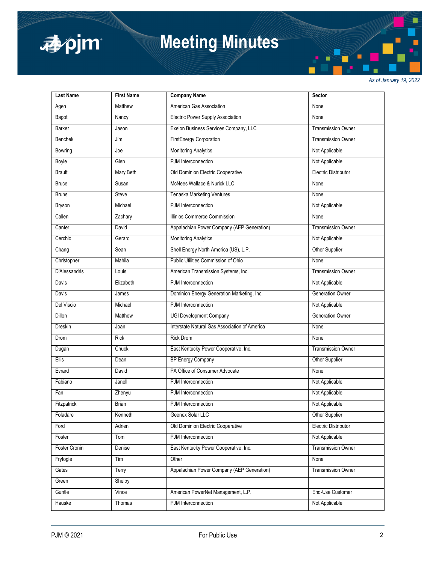

# **Meeting Minutes**

*As of January 19, 2022*

| <b>Last Name</b>     | <b>First Name</b> | <b>Company Name</b>                           | Sector                    |
|----------------------|-------------------|-----------------------------------------------|---------------------------|
| Agen                 | Matthew           | American Gas Association                      | None                      |
| Bagot                | Nancy             | Electric Power Supply Association             | None                      |
| Barker               | Jason             | Exelon Business Services Company, LLC         | <b>Transmission Owner</b> |
| Benchek              | Jim               | <b>FirstEnergy Corporation</b>                | <b>Transmission Owner</b> |
| Bowring              | Joe               | <b>Monitoring Analytics</b>                   | Not Applicable            |
| Boyle                | Glen              | PJM Interconnection                           | Not Applicable            |
| <b>Brault</b>        | Mary Beth         | Old Dominion Electric Cooperative             | Electric Distributor      |
| <b>Bruce</b>         | Susan             | McNees Wallace & Nurick LLC                   | None                      |
| <b>Bruns</b>         | Steve             | <b>Tenaska Marketing Ventures</b>             | None                      |
| Bryson               | Michael           | PJM Interconnection                           | Not Applicable            |
| Callen               | Zachary           | Illinios Commerce Commission                  | None                      |
| Canter               | David             | Appalachian Power Company (AEP Generation)    | <b>Transmission Owner</b> |
| Cerchio              | Gerard            | <b>Monitoring Analytics</b>                   | Not Applicable            |
| Chang                | Sean              | Shell Energy North America (US), L.P.         | Other Supplier            |
| Christopher          | Mahila            | Public Utilities Commission of Ohio           | None                      |
| <b>D'Alessandris</b> | Louis             | American Transmission Systems, Inc.           | <b>Transmission Owner</b> |
| Davis                | Elizabeth         | PJM Interconnection                           | Not Applicable            |
| Davis                | James             | Dominion Energy Generation Marketing, Inc.    | <b>Generation Owner</b>   |
| Del Viscio           | Michael           | PJM Interconnection                           | Not Applicable            |
| <b>Dillon</b>        | Matthew           | <b>UGI Development Company</b>                | <b>Generation Owner</b>   |
| <b>Dreskin</b>       | Joan              | Interstate Natural Gas Association of America | None                      |
| Drom                 | Rick              | <b>Rick Drom</b>                              | None                      |
| Dugan                | Chuck             | East Kentucky Power Cooperative, Inc.         | Transmission Owner        |
| Ellis                | Dean              | <b>BP Energy Company</b>                      | Other Supplier            |
| Evrard               | David             | PA Office of Consumer Advocate                | None                      |
| Fabiano              | Janell            | PJM Interconnection                           | Not Applicable            |
| Fan                  | Zhenyu            | PJM Interconnection                           | Not Applicable            |
| Fitzpatrick          | <b>Brian</b>      | PJM Interconnection                           | Not Applicable            |
| Foladare             | Kenneth           | Geenex Solar LLC                              | Other Supplier            |
| Ford                 | Adrien            | Old Dominion Electric Cooperative             | Electric Distributor      |
| Foster               | Tom               | PJM Interconnection                           | Not Applicable            |
| Foster Cronin        | Denise            | East Kentucky Power Cooperative, Inc.         | <b>Transmission Owner</b> |
| Fryfogle             | Tim               | Other                                         | None                      |
| Gates                | Terry             | Appalachian Power Company (AEP Generation)    | <b>Transmission Owner</b> |
| Green                | Shelby            |                                               |                           |
| Guntle               | Vince             | American PowerNet Management, L.P.            | End-Use Customer          |
| Hauske               | Thomas            | PJM Interconnection                           | Not Applicable            |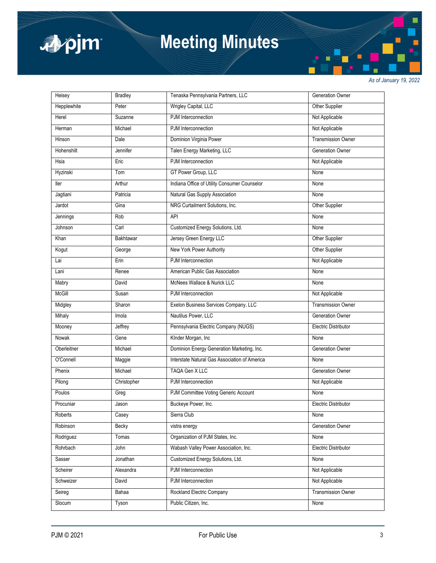

# **Meeting Minutes**

*As of January 19, 2022*

| Heisey        | <b>Bradley</b>   | Tenaska Pennsylvania Partners, LLC            | <b>Generation Owner</b>     |
|---------------|------------------|-----------------------------------------------|-----------------------------|
| Hepplewhite   | Peter            | Wrigley Capital, LLC                          | Other Supplier              |
| Herel         | Suzanne          | PJM Interconnection                           | Not Applicable              |
| Herman        | Michael          | PJM Interconnection                           | Not Applicable              |
| Hinson        | Dale             | Dominion Virginia Power                       | <b>Transmission Owner</b>   |
| Hohenshilt    | Jennifer         | Talen Energy Marketing, LLC                   | Generation Owner            |
| Hsia          | Eric             | PJM Interconnection                           | Not Applicable              |
| Hyzinski      | Tom              | GT Power Group, LLC                           | None                        |
| ller          | Arthur           | Indiana Office of Utility Consumer Counselor  | None                        |
| Jagtiani      | Patricia         | Natural Gas Supply Association                | None                        |
| Jardot        | Gina             | NRG Curtailment Solutions, Inc.               | Other Supplier              |
| Jennings      | Rob              | API                                           | None                        |
| Johnson       | Carl             | Customized Energy Solutions, Ltd.             | None                        |
| Khan          | <b>Bakhtawar</b> | Jersey Green Energy LLC                       | Other Supplier              |
| Kogut         | George           | New York Power Authority                      | Other Supplier              |
| Lai           | Erin             | PJM Interconnection                           | Not Applicable              |
| Lani          | Renee            | American Public Gas Association               | None                        |
| Mabry         | David            | McNees Wallace & Nurick LLC                   | None                        |
| <b>McGill</b> | Susan            | PJM Interconnection                           | Not Applicable              |
| Midgley       | Sharon           | Exelon Business Services Company, LLC         | <b>Transmission Owner</b>   |
| Mihaly        | Imola            | Nautilus Power, LLC                           | <b>Generation Owner</b>     |
| Mooney        | Jeffrey          | Pennsylvania Electric Company (NUGS)          | Electric Distributor        |
| Nowak         | Gene             | KInder Morgan, Inc                            | None                        |
| Oberleitner   | Michael          | Dominion Energy Generation Marketing, Inc.    | <b>Generation Owner</b>     |
| O'Connell     | Maggie           | Interstate Natural Gas Association of America | None                        |
| Phenix        | Michael          | TAQA Gen X LLC                                | <b>Generation Owner</b>     |
| Pilong        | Christopher      | PJM Interconnection                           | Not Applicable              |
| Poulos        | Greg             | PJM Committee Voting Generic Account          | None                        |
| Procuniar     | Jason            | Buckeye Power, Inc.                           | <b>Electric Distributor</b> |
| Roberts       | Casey            | Sierra Club                                   | None                        |
| Robinson      | Becky            | vistra energy                                 | Generation Owner            |
| Rodriguez     | Tomas            | Organization of PJM States, Inc.              | None                        |
| Rohrbach      | John             | Wabash Valley Power Association, Inc.         | Electric Distributor        |
| Sasser        | Jonathan         | Customized Energy Solutions, Ltd.             | None                        |
| Scheirer      | Alexandra        | PJM Interconnection                           | Not Applicable              |
| Schweizer     | David            | PJM Interconnection                           | Not Applicable              |
| Seireg        | Bahaa            | Rockland Electric Company                     | <b>Transmission Owner</b>   |
| Slocum        | Tyson            | Public Citizen, Inc.                          | None                        |